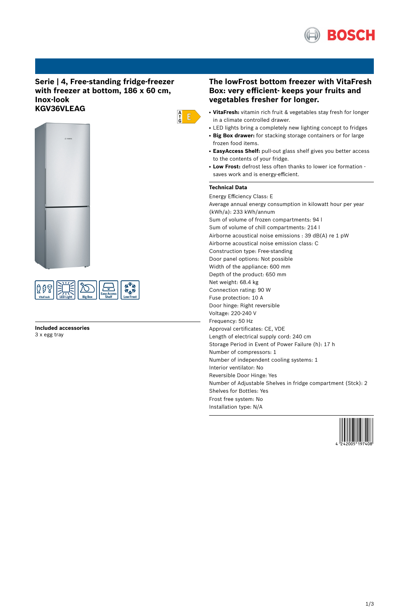

# **Serie | 4, Free-standing fridge-freezer with freezer at bottom, 186 x 60 cm, Inox-look KGV36VLEAG**





**Included accessories** 3 x egg tray

# **The lowFrost bottom freezer with VitaFresh Box: very efficient- keeps your fruits and vegetables fresher for longer.**

- VitaFresh: vitamin rich fruit & vegetables stay fresh for longer in a climate controlled drawer.
- LED lights bring a completely new lighting concept to fridges
- **Big Box drawer:** for stacking storage containers or for large frozen food items.
- **EasyAccess Shelf:** pull-out glass shelf gives you better access to the contents of your fridge.
- **Low Frost:** defrost less often thanks to lower ice formation saves work and is energy-efficient.

# **Technical Data**

 $\begin{array}{c} A \\ \uparrow \\ G \end{array}$   $\begin{array}{c} \square \\ \square \end{array}$ 

Energy Efficiency Class: E Average annual energy consumption in kilowatt hour per year (kWh/a): 233 kWh/annum Sum of volume of frozen compartments: 94 l Sum of volume of chill compartments: 214 l Airborne acoustical noise emissions : 39 dB(A) re 1 pW Airborne acoustical noise emission class: C Construction type: Free-standing Door panel options: Not possible Width of the appliance: 600 mm Depth of the product: 650 mm Net weight: 68.4 kg Connection rating: 90 W Fuse protection: 10 A Door hinge: Right reversible Voltage: 220-240 V Frequency: 50 Hz Approval certificates: CE, VDE Length of electrical supply cord: 240 cm Storage Period in Event of Power Failure (h): 17 h Number of compressors: 1 Number of independent cooling systems: 1 Interior ventilator: No Reversible Door Hinge: Yes Number of Adjustable Shelves in fridge compartment (Stck): 2 Shelves for Bottles: Yes Frost free system: No Installation type: N/A

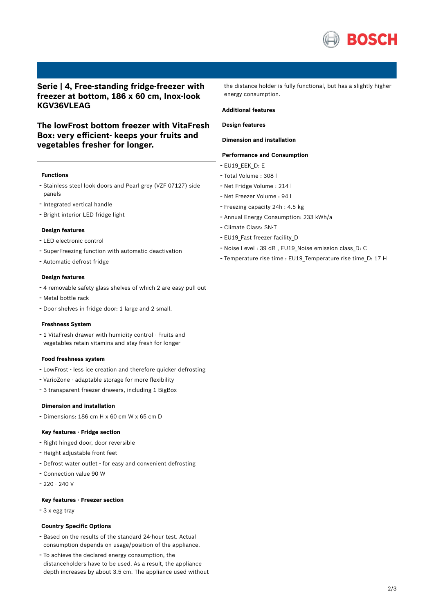

# **Serie | 4, Free-standing fridge-freezer with freezer at bottom, 186 x 60 cm, Inox-look KGV36VLEAG**

# **The lowFrost bottom freezer with VitaFresh Box: very efficient- keeps your fruits and vegetables fresher for longer.**

## **Functions**

- Stainless steel look doors and Pearl grey (VZF 07127) side panels
- Integrated vertical handle
- Bright interior LED fridge light

## **Design features**

- LED electronic control
- SuperFreezing function with automatic deactivation
- Automatic defrost fridge

### **Design features**

- <sup>4</sup> removable safety glass shelves of which <sup>2</sup> are easy pull out
- Metal bottle rack
- Door shelves in fridge door: <sup>1</sup> large and <sup>2</sup> small.

#### **Freshness System**

- <sup>1</sup> VitaFresh drawer with humidity control - Fruits and vegetables retain vitamins and stay fresh for longer

#### **Food freshness system**

- LowFrost less ice creation and therefore quicker defrosting
- VarioZone adaptable storage for more flexibility
- <sup>3</sup> transparent freezer drawers, including <sup>1</sup> BigBox

#### **Dimension and installation**

- Dimensions: 186 cm H x 60 cm W x 65 cm D

#### **Key features - Fridge section**

- Right hinged door, door reversible
- Height adjustable front feet
- Defrost water outlet for easy and convenient defrosting
- Connection value <sup>90</sup> <sup>W</sup>
- 220 240 V

### **Key features - Freezer section**

- <sup>3</sup> <sup>x</sup> egg tray

#### **Country Specific Options**

- Based on the results of the standard 24-hour test. Actual consumption depends on usage/position of the appliance.
- To achieve the declared energy consumption, the distanceholders have to be used. As a result, the appliance depth increases by about 3.5 cm. The appliance used without

the distance holder is fully functional, but has a slightly higher energy consumption.

### **Additional features**

# **Design features**

# **Dimension and installation**

## **Performance and Consumption**

- EU19\_EEK\_D: E
- Total Volume : <sup>308</sup> <sup>l</sup>
- Net Fridge Volume : <sup>214</sup> <sup>l</sup>
- Net Freezer Volume : <sup>94</sup> <sup>l</sup>
- Freezing capacity 24h : 4.5 kg
- Annual Energy Consumption: <sup>233</sup> kWh/a
- Climate Class: SN-T
- EU19 Fast freezer facility D
- Noise Level : <sup>39</sup> dB , EU19\_Noise emission class\_D: <sup>C</sup>
- Temperature rise time : EU19\_Temperature rise time\_D: <sup>17</sup> <sup>H</sup>